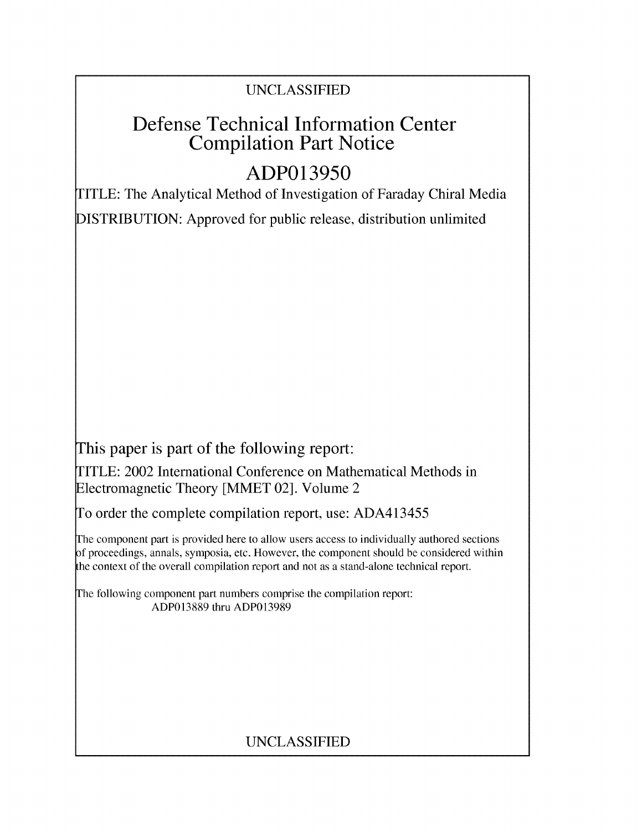## UNCLASSIFIED

## Defense Technical Information Center Compilation Part Notice

# **ADP013950**

TITLE: The Analytical Method of Investigation of Faraday Chiral Media DISTRIBUTION: Approved for public release, distribution unlimited

This paper is part of the following report:

TITLE: 2002 International Conference on Mathematical Methods in Electromagnetic Theory [MMET 02]. Volume 2

To order the complete compilation report, use: ADA413455

The component part is provided here to allow users access to individually authored sections f proceedings, annals, symposia, etc. However, the component should be considered within the context of the overall compilation report and not as a stand-alone technical report.

The following component part numbers comprise the compilation report: ADP013889 thru ADP013989

### UNCLASSIFIED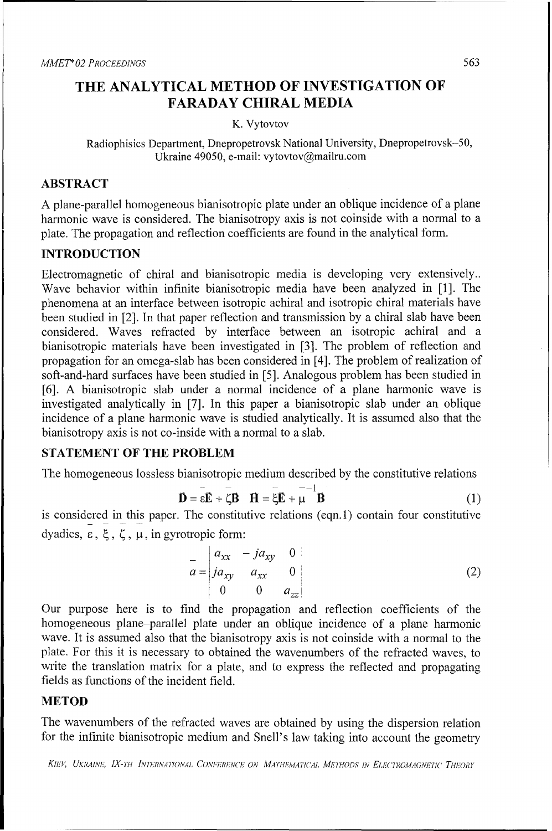### THE **ANALYTICAL** METHOD OF **INVESTIGATION** OF FARADAY CHIRAL **MEDIA**

#### K. Vytovtov

Radiophisics Department, Dnepropetrovsk National University, Dnepropetrovsk-50, Ukraine 49050, e-mail: vytovtov@mailru.com

#### ABSTRACT

**A** plane-parallel homogeneous bianisotropic plate under an oblique incidence of a plane harmonic wave is considered. The bianisotropy axis is not coinside with a normal to a plate. The propagation and reflection coefficients are found in the analytical form.

#### **INTRODUCTION**

Electromagnetic of chiral and bianisotropic media is developing very extensively.. Wave behavior within infinite bianisotropic media have been analyzed in [1]. The phenomena at an interface between isotropic achiral and isotropic chiral materials have been studied in [2]. In that paper reflection and transmission by a chiral slab have been considered. Waves refracted by interface between an isotropic achiral and a bianisotropic materials have been investigated in [3]. The problem of reflection and propagation for an omega-slab has been considered in [4]. The problem of realization of soft-and-hard surfaces have been studied in [5]. Analogous problem has been studied in [6]. A bianisotropic slab under a normal incidence of a plane harmonic wave is investigated analytically in [7]. In this paper a bianisotropic slab under an oblique incidence of a plane harmonic wave is studied analytically. It is assumed also that the bianisotropy axis is not co-inside with a normal to a slab.

#### **STATEMENT** OF THE PROBLEM

The homogeneous lossless bianisotropic medium described by the constitutive relations

$$
\mathbf{\overline{D}} = \varepsilon \mathbf{\overline{E}} + \zeta \mathbf{\overline{B}} \quad \mathbf{\overline{H}} = \xi \mathbf{\overline{E}} + \mu \quad \mathbf{\overline{B}} \tag{1}
$$

is considered in this paper. The constitutive relations (eqn.1) contain four constitutive dyadics,  $\epsilon$ ,  $\xi$ ,  $\zeta$ ,  $\mu$ , in gyrotropic form:

$$
\bar{a} = \begin{vmatrix} a_{xx} & -ja_{xy} & 0 \\ ja_{xy} & a_{xx} & 0 \\ 0 & 0 & a_{zz} \end{vmatrix}
$$
 (2)

Our purpose here is to find the propagation and reflection coefficients of the homogeneous plane-parallel plate under an oblique incidence of a plane harmonic wave. It is assumed also that the bianisotropy axis is not coinside with a normal to the plate. For this it is necessary to obtained the wavenumbers of the refracted waves, to write the translation matrix for a plate, and to express the reflected and propagating fields as functions of the incident field.

#### METOD

The wavenumbers of the refracted waves are obtained by using the dispersion relation for the infinite bianisotropic medium and Snell's law taking into account the geometry

KIEV, UKRAINE, IX-TH INTERNATIONAL CONFERENCE ON MATHEMATICAL METHODS IN ELECTROMAGNETIC THEORY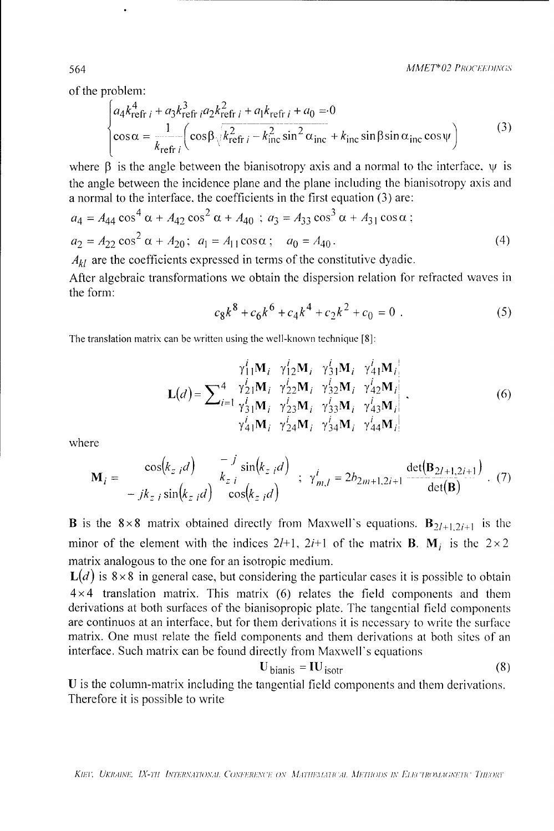of the problem:

$$
\begin{cases}\na_4 k_{\text{refr } i}^4 + a_3 k_{\text{refr } i}^3 a_2 k_{\text{refr } i}^2 + a_1 k_{\text{refr } i} + a_0 = 0 \\
\cos \alpha = \frac{1}{k_{\text{refr } i}} \left( \cos \beta \sqrt{k_{\text{refr } i}^2 - k_{\text{inc}}^2 \sin^2 \alpha_{\text{inc}}} + k_{\text{inc}} \sin \beta \sin \alpha_{\text{inc}} \cos \psi \right)\n\end{cases} \tag{3}
$$

where  $\beta$  is the angle between the bianisotropy axis and a normal to the interface,  $\psi$  is the angle between the incidence plane and the plane including the bianisotropy axis and a normal to the interface, the coefficients in the first equation (3) are:

$$
a_4 = A_{44} \cos^4 \alpha + A_{42} \cos^2 \alpha + A_{40} \; ; \; a_3 = A_{33} \cos^3 \alpha + A_{31} \cos \alpha \; ;
$$
  
\n
$$
a_2 = A_{22} \cos^2 \alpha + A_{20} \; ; \; a_1 = A_{11} \cos \alpha \; ; \; a_0 = A_{40} \, .
$$
\n(4)

 $A_{kl}$  are the coefficients expressed in terms of the constitutive dyadic.

After algebraic transformations we obtain the dispersion relation for refracted waves in the form:

$$
c_8k^8 + c_6k^6 + c_4k^4 + c_2k^2 + c_0 = 0
$$
 (5)

The translation matrix can be written using the well-known technique [8]:

$$
\mathbf{L}(d) = \sum_{i=1}^{4} \frac{\gamma_{11}^{i} \mathbf{M}_{i}}{\gamma_{21}^{i} \mathbf{M}_{i}} \frac{\gamma_{12}^{i} \mathbf{M}_{i}}{\gamma_{22}^{i} \mathbf{M}_{i}} \frac{\gamma_{31}^{i} \mathbf{M}_{i}}{\gamma_{32}^{i} \mathbf{M}_{i}} \frac{\gamma_{41}^{i} \mathbf{M}_{i}}{\gamma_{42}^{i} \mathbf{M}_{i}} \n\gamma_{11}^{i} \mathbf{M}_{i} \frac{\gamma_{23}^{i} \mathbf{M}_{i}}{\gamma_{23}^{i} \mathbf{M}_{i}} \frac{\gamma_{33}^{i} \mathbf{M}_{i}}{\gamma_{43}^{i} \mathbf{M}_{i}} \frac{\gamma_{43}^{i} \mathbf{M}_{i}}{\gamma_{44}^{i} \mathbf{M}_{i}} \n\gamma_{41}^{i} \mathbf{M}_{i} \frac{\gamma_{24}^{i} \mathbf{M}_{i}}{\gamma_{24}^{i} \mathbf{M}_{i}} \frac{\gamma_{34}^{i} \mathbf{M}_{i}}{\gamma_{44}^{i} \mathbf{M}_{i}}
$$
\n(6)

where

$$
\mathbf{M}_{i} = \frac{\cos(k_{z i}d)}{-jk_{z i} \sin(k_{z i}d)} \frac{-J \sin(k_{z i}d)}{\cos(k_{z i}d)}; \ \gamma_{m,l}^{i} = 2b_{2m+1,2i+1} \frac{\det(\mathbf{B}_{2l+1,2i+1})}{\det(\mathbf{B})}.
$$
 (7)

**B** is the 8×8 matrix obtained directly from Maxwell's equations.  $B_{2l+1,2i+1}$  is the minor of the element with the indices 2/+1, 2*i*+1 of the matrix **B**.  $M_i$  is the 2×2 matrix analogous to the one for an isotropic medium.

 $L(d)$  is 8 × 8 in general case, but considering the particular cases it is possible to obtain  $4 \times 4$  translation matrix. This matrix (6) relates the field components and them derivations at both surfaces of the bianisopropic plate. The tangential field components are continuos at an interface, but for them derivations it is necessary to write the surface matrix. One must relate the field components and them derivations at both sites of an interface. Such matrix can be found directly from Maxwell's equations

$$
\mathbf{U}_{\text{bianis}} = \mathbf{I} \mathbf{U}_{\text{isotr}} \tag{8}
$$

U is the column-matrix including the tangential field components and them derivations. Therefore it is possible to write

564